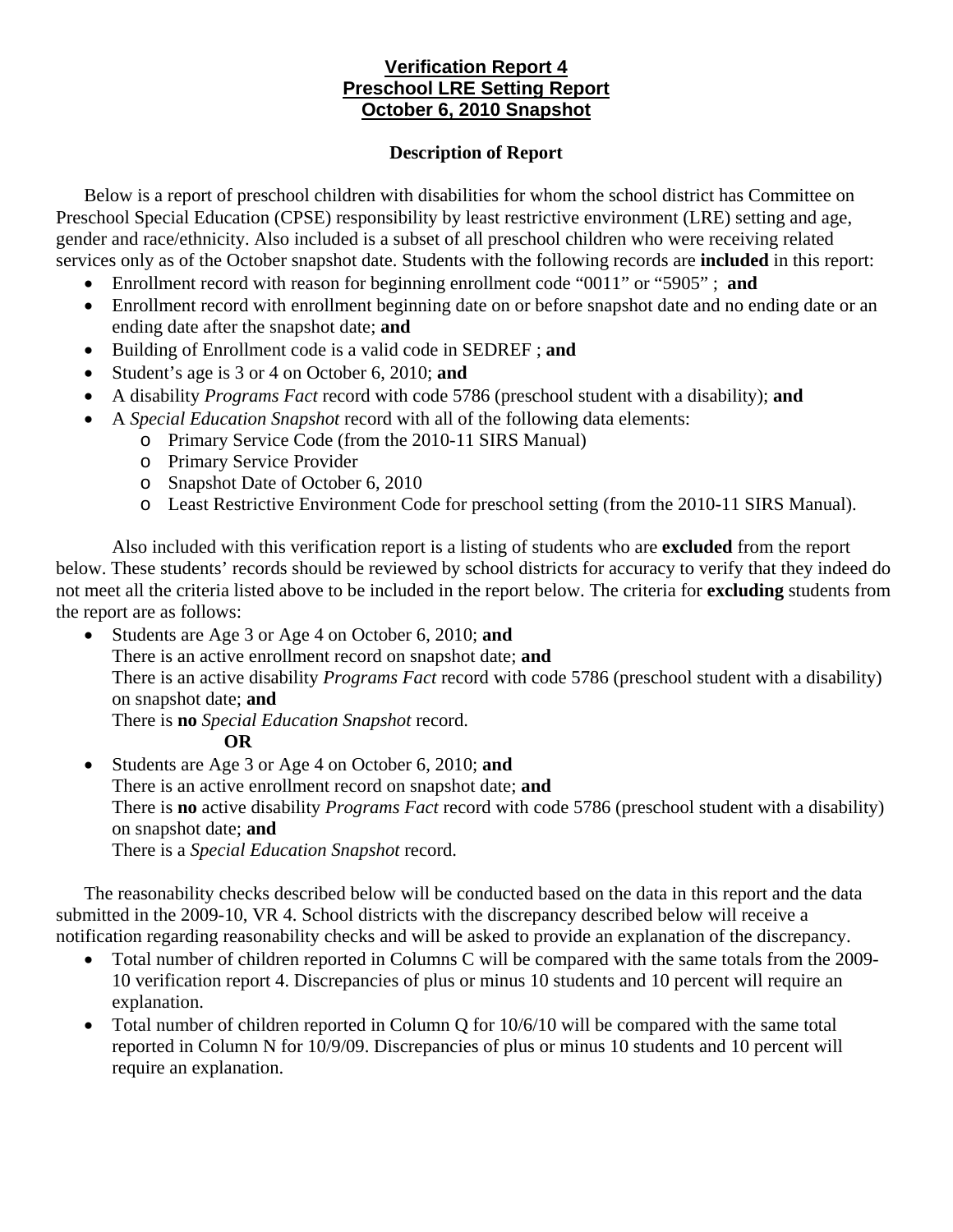# **Verification Report 4 Preschool LRE Setting Report October 6, 2010 Snapshot**

#### **Description of Report**

Below is a report of preschool children with disabilities for whom the school district has Committee on Preschool Special Education (CPSE) responsibility by least restrictive environment (LRE) setting and age, gender and race/ethnicity. Also included is a subset of all preschool children who were receiving related services only as of the October snapshot date. Students with the following records are **included** in this report:

- Enrollment record with reason for beginning enrollment code "0011" or "5905" ; **and**
- Enrollment record with enrollment beginning date on or before snapshot date and no ending date or an ending date after the snapshot date; **and**
- Building of Enrollment code is a valid code in SEDREF ; **and**
- Student's age is 3 or 4 on October 6, 2010; **and**
- A disability *Programs Fact* record with code 5786 (preschool student with a disability); **and**
- A *Special Education Snapshot* record with all of the following data elements:
	- o Primary Service Code (from the 2010-11 SIRS Manual)
	- o Primary Service Provider
	- o Snapshot Date of October 6, 2010
	- o Least Restrictive Environment Code for preschool setting (from the 2010-11 SIRS Manual).

Also included with this verification report is a listing of students who are **excluded** from the report below. These students' records should be reviewed by school districts for accuracy to verify that they indeed do not meet all the criteria listed above to be included in the report below. The criteria for **excluding** students from the report are as follows:

• Students are Age 3 or Age 4 on October 6, 2010; **and** There is an active enrollment record on snapshot date; **and**  There is an active disability *Programs Fact* record with code 5786 (preschool student with a disability) on snapshot date; **and** There is **no** *Special Education Snapshot* record.

#### **OR**

• Students are Age 3 or Age 4 on October 6, 2010; **and** There is an active enrollment record on snapshot date; **and** There is **no** active disability *Programs Fact* record with code 5786 (preschool student with a disability) on snapshot date; **and**  There is a *Special Education Snapshot* record.

The reasonability checks described below will be conducted based on the data in this report and the data submitted in the 2009-10, VR 4. School districts with the discrepancy described below will receive a notification regarding reasonability checks and will be asked to provide an explanation of the discrepancy.

- Total number of children reported in Columns C will be compared with the same totals from the 2009- 10 verification report 4. Discrepancies of plus or minus 10 students and 10 percent will require an explanation.
- Total number of children reported in Column Q for  $10/6/10$  will be compared with the same total reported in Column N for 10/9/09. Discrepancies of plus or minus 10 students and 10 percent will require an explanation.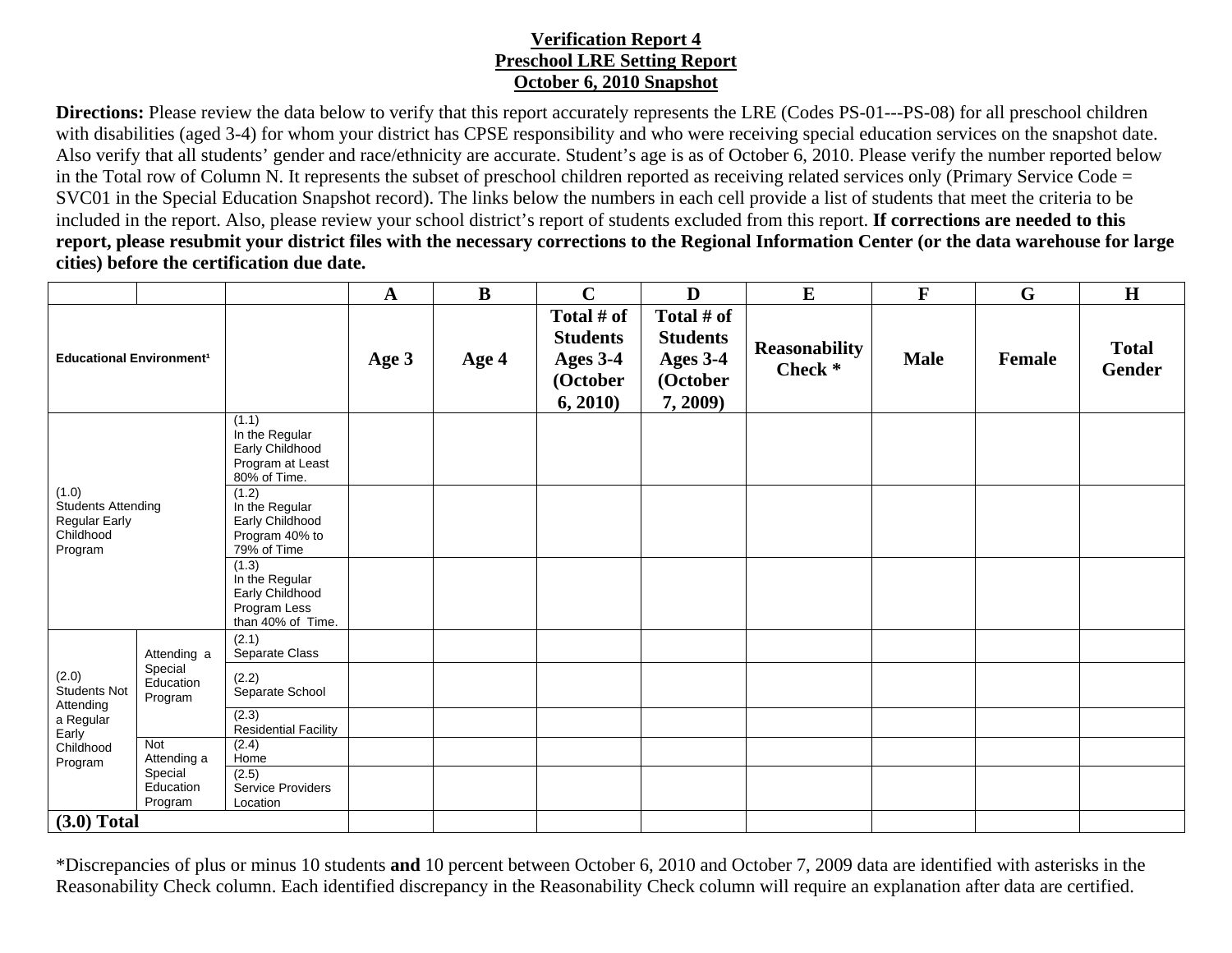## **Verification Report 4 Preschool LRE Setting Report October 6, 2010 Snapshot**

**Directions:** Please review the data below to verify that this report accurately represents the LRE (Codes PS-01---PS-08) for all preschool children with disabilities (aged 3-4) for whom your district has CPSE responsibility and who were receiving special education services on the snapshot date. Also verify that all students' gender and race/ethnicity are accurate. Student's age is as of October 6, 2010. Please verify the number reported below in the Total row of Column N. It represents the subset of preschool children reported as receiving related services only (Primary Service Code = SVC01 in the Special Education Snapshot record). The links below the numbers in each cell provide a list of students that meet the criteria to be included in the report. Also, please review your school district's report of students excluded from this report. **If corrections are needed to this report, please resubmit your district files with the necessary corrections to the Regional Information Center (or the data warehouse for large cities) before the certification due date.**

|                                                                                         |                                                |                                                                                 | $\mathbf A$ | B     | $\mathbf C$                                                       | D                                                                        | $\bf{E}$                        | $\mathbf F$ | G      | H                             |
|-----------------------------------------------------------------------------------------|------------------------------------------------|---------------------------------------------------------------------------------|-------------|-------|-------------------------------------------------------------------|--------------------------------------------------------------------------|---------------------------------|-------------|--------|-------------------------------|
| <b>Educational Environment<sup>1</sup></b>                                              |                                                |                                                                                 | Age 3       | Age 4 | Total # of<br><b>Students</b><br>Ages 3-4<br>(October<br>6, 2010) | Total # of<br><b>Students</b><br><b>Ages 3-4</b><br>(October<br>7, 2009) | <b>Reasonability</b><br>Check * | <b>Male</b> | Female | <b>Total</b><br><b>Gender</b> |
| (1.0)<br><b>Students Attending</b><br><b>Regular Early</b><br>Childhood<br>Program      |                                                | (1.1)<br>In the Regular<br>Early Childhood<br>Program at Least<br>80% of Time.  |             |       |                                                                   |                                                                          |                                 |             |        |                               |
|                                                                                         |                                                | (1.2)<br>In the Regular<br>Early Childhood<br>Program 40% to<br>79% of Time     |             |       |                                                                   |                                                                          |                                 |             |        |                               |
|                                                                                         |                                                | (1.3)<br>In the Regular<br>Early Childhood<br>Program Less<br>than 40% of Time. |             |       |                                                                   |                                                                          |                                 |             |        |                               |
| (2.0)<br><b>Students Not</b><br>Attending<br>a Regular<br>Early<br>Childhood<br>Program | Attending a<br>Special<br>Education<br>Program | (2.1)<br>Separate Class                                                         |             |       |                                                                   |                                                                          |                                 |             |        |                               |
|                                                                                         |                                                | (2.2)<br>Separate School                                                        |             |       |                                                                   |                                                                          |                                 |             |        |                               |
|                                                                                         |                                                | (2.3)<br><b>Residential Facility</b>                                            |             |       |                                                                   |                                                                          |                                 |             |        |                               |
|                                                                                         | Not<br>Attending a                             | (2.4)<br>Home                                                                   |             |       |                                                                   |                                                                          |                                 |             |        |                               |
|                                                                                         | Special<br>Education<br>Program                | (2.5)<br>Service Providers<br>Location                                          |             |       |                                                                   |                                                                          |                                 |             |        |                               |
| $(3.0)$ Total                                                                           |                                                |                                                                                 |             |       |                                                                   |                                                                          |                                 |             |        |                               |

\*Discrepancies of plus or minus 10 students **and** 10 percent between October 6, 2010 and October 7, 2009 data are identified with asterisks in the Reasonability Check column. Each identified discrepancy in the Reasonability Check column will require an explanation after data are certified.